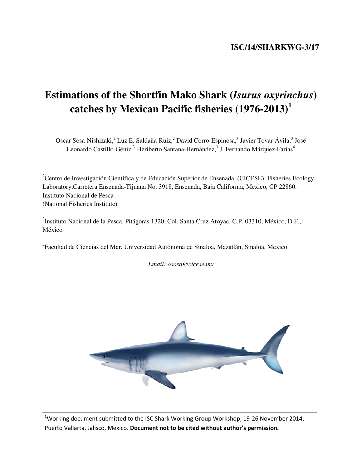## **ISC/14/SHARKWG-3/17**

# **Estimations of the Shortfin Mako Shark (***Isurus oxyrinchus***) catches by Mexican Pacific fisheries (1976-2013)<sup>1</sup>**

Oscar Sosa-Nishizaki,<sup>2</sup> Luz E. Saldaña-Ruiz,<sup>2</sup> David Corro-Espinosa,<sup>3</sup> Javier Tovar-Ávila,<sup>3</sup> José Leonardo Castillo-Géniz,<sup>3</sup> Heriberto Santana-Hernández,<sup>3</sup> J. Fernando Márquez-Farías<sup>4</sup>

<sup>2</sup>Centro de Investigación Científica y de Educación Superior de Ensenada, (CICESE), Fisheries Ecology Laboratory,Carretera Ensenada-Tijuana No. 3918, Ensenada, Baja California, Mexico, CP 22860. Instituto Nacional de Pesca (National Fisheries Institute)

<sup>3</sup>Instituto Nacional de la Pesca, Pitágoras 1320, Col. Santa Cruz Atoyac, C.P. 03310, México, D.F., México

4 Facultad de Ciencias del Mar. Universidad Autónoma de Sinaloa, Mazatlán, Sinaloa, Mexico

*Email: ososa@cicese.mx* 



<sup>1</sup>Working document submitted to the ISC Shark Working Group Workshop, 19-26 November 2014, Puerto Vallarta, Jalisco, Mexico. Document not to be cited without author's permission.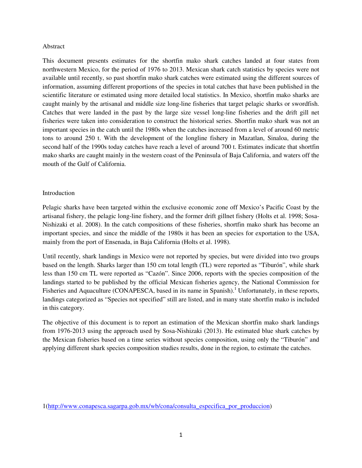#### Abstract

This document presents estimates for the shortfin mako shark catches landed at four states from northwestern Mexico, for the period of 1976 to 2013. Mexican shark catch statistics by species were not available until recently, so past shortfin mako shark catches were estimated using the different sources of information, assuming different proportions of the species in total catches that have been published in the scientific literature or estimated using more detailed local statistics. In Mexico, shortfin mako sharks are caught mainly by the artisanal and middle size long-line fisheries that target pelagic sharks or swordfish. Catches that were landed in the past by the large size vessel long-line fisheries and the drift gill net fisheries were taken into consideration to construct the historical series. Shortfin mako shark was not an important species in the catch until the 1980s when the catches increased from a level of around 60 metric tons to around 250 t. With the development of the longline fishery in Mazatlan, Sinaloa, during the second half of the 1990s today catches have reach a level of around 700 t. Estimates indicate that shortfin mako sharks are caught mainly in the western coast of the Peninsula of Baja California, and waters off the mouth of the Gulf of California.

## Introduction

Pelagic sharks have been targeted within the exclusive economic zone off Mexico's Pacific Coast by the artisanal fishery, the pelagic long-line fishery, and the former drift gillnet fishery (Holts et al. 1998; Sosa-Nishizaki et al. 2008). In the catch compositions of these fisheries, shortfin mako shark has become an important species, and since the middle of the 1980s it has been an species for exportation to the USA, mainly from the port of Ensenada, in Baja California (Holts et al. 1998).

Until recently, shark landings in Mexico were not reported by species, but were divided into two groups based on the length. Sharks larger than 150 cm total length (TL) were reported as "Tiburón", while shark less than 150 cm TL were reported as "Cazón". Since 2006, reports with the species composition of the landings started to be published by the official Mexican fisheries agency, the National Commission for Fisheries and Aquaculture (CONAPESCA, based in its name in Spanish).<sup>1</sup> Unfortunately, in these reports, landings categorized as "Species not specified" still are listed, and in many state shortfin mako is included in this category.

The objective of this document is to report an estimation of the Mexican shortfin mako shark landings from 1976-2013 using the approach used by Sosa-Nishizaki (2013). He estimated blue shark catches by the Mexican fisheries based on a time series without species composition, using only the "Tiburón" and applying different shark species composition studies results, done in the region, to estimate the catches.

<sup>1(</sup>http://www.conapesca.sagarpa.gob.mx/wb/cona/consulta\_especifica\_por\_produccion)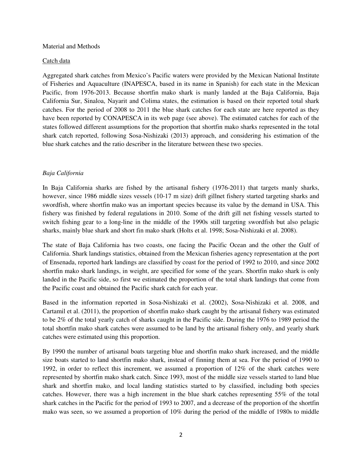#### Material and Methods

#### Catch data

Aggregated shark catches from Mexico's Pacific waters were provided by the Mexican National Institute of Fisheries and Aquaculture (INAPESCA, based in its name in Spanish) for each state in the Mexican Pacific, from 1976-2013. Because shortfin mako shark is manly landed at the Baja California, Baja California Sur, Sinaloa, Nayarit and Colima states, the estimation is based on their reported total shark catches. For the period of 2008 to 2011 the blue shark catches for each state are here reported as they have been reported by CONAPESCA in its web page (see above). The estimated catches for each of the states followed different assumptions for the proportion that shortfin mako sharks represented in the total shark catch reported, following Sosa-Nishizaki (2013) approach, and considering his estimation of the blue shark catches and the ratio describer in the literature between these two species.

## *Baja California*

In Baja California sharks are fished by the artisanal fishery (1976-2011) that targets manly sharks, however, since 1986 middle sizes vessels (10-17 m size) drift gillnet fishery started targeting sharks and swordfish, where shortfin mako was an important species because its value by the demand in USA. This fishery was finished by federal regulations in 2010. Some of the drift gill net fishing vessels started to switch fishing gear to a long-line in the middle of the 1990s still targeting swordfish but also pelagic sharks, mainly blue shark and short fin mako shark (Holts et al. 1998; Sosa-Nishizaki et al. 2008).

The state of Baja California has two coasts, one facing the Pacific Ocean and the other the Gulf of California. Shark landings statistics, obtained from the Mexican fisheries agency representation at the port of Ensenada, reported hark landings are classified by coast for the period of 1992 to 2010, and since 2002 shortfin mako shark landings, in weight, are specified for some of the years. Shortfin mako shark is only landed in the Pacific side, so first we estimated the proportion of the total shark landings that come from the Pacific coast and obtained the Pacific shark catch for each year.

Based in the information reported in Sosa-Nishizaki et al. (2002), Sosa-Nishizaki et al. 2008, and Cartamil et al. (2011), the proportion of shortfin mako shark caught by the artisanal fishery was estimated to be 2% of the total yearly catch of sharks caught in the Pacific side. During the 1976 to 1989 period the total shortfin mako shark catches were assumed to be land by the artisanal fishery only, and yearly shark catches were estimated using this proportion.

By 1990 the number of artisanal boats targeting blue and shortfin mako shark increased, and the middle size boats started to land shortfin mako shark, instead of finning them at sea. For the period of 1990 to 1992, in order to reflect this increment, we assumed a proportion of 12% of the shark catches were represented by shortfin mako shark catch. Since 1993, most of the middle size vessels started to land blue shark and shortfin mako, and local landing statistics started to by classified, including both species catches. However, there was a high increment in the blue shark catches representing 55% of the total shark catches in the Pacific for the period of 1993 to 2007, and a decrease of the proportion of the shortfin mako was seen, so we assumed a proportion of 10% during the period of the middle of 1980s to middle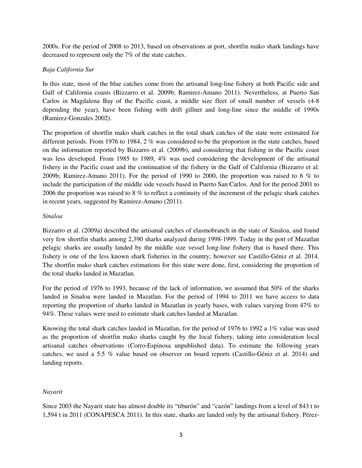2000s. For the period of 2008 to 2013, based on observations at port, shortfin mako shark landings have decreased to represent only the 7% of the state catches.

## *Baja California Sur*

In this state, most of the blue catches come from the artisanal long-line fishery at both Pacific side and Gulf of California coasts (Bizzarro et al. 2009b; Ramirez-Amano 2011). Nevertheless, at Puerto San Carlos in Magdalena Bay of the Pacific coast, a middle size fleet of small number of vessels (4-8 depending the year), have been fishing with drift gillnet and long-line since the middle of 1990s (Ramirez-Gonzales 2002).

The proportion of shortfin mako shark catches in the total shark catches of the state were estimated for different periods. From 1976 to 1984, 2 % was considered to be the proportion in the state catches, based on the information reported by Bizzarro et al. (2009b), and considering that fishing in the Pacific coast was less developed. From 1985 to 1989, 4% was used considering the development of the artisanal fishery in the Pacific coast and the continuation of the fishery in the Gulf of California (Bizzarro et al. 2009b; Ramirez-Amano 2011). For the period of 1990 to 2000, the proportion was raised to 6 % to include the participation of the middle side vessels based in Puerto San Carlos. And for the period 2001 to 2006 the proportion was raised to 8 % to reflect a continuity of the increment of the pelagic shark catches in recent years, suggested by Ramirez-Amano (2011).

## *Sinaloa*

Bizzarro et al. (2009a) described the artisanal catches of elasmobranch in the state of Sinaloa, and found very few shortfin sharks among 2,390 sharks analyzed during 1998-1999. Today in the port of Mazatlan pelagic sharks are usually landed by the middle size vessel long-line fishery that is based there. This fishery is one of the less known shark fisheries in the country; however see Castillo-Géniz et al. 2014. The shortfin mako shark catches estimations for this state were done, first, considering the proportion of the total sharks landed in Mazatlan.

For the period of 1976 to 1993, because of the lack of information, we assumed that 50% of the sharks landed in Sinaloa were landed in Mazatlan. For the period of 1994 to 2011 we have access to data reporting the proportion of sharks landed in Mazatlan in yearly bases, with values varying from 47% to 94%. These values were used to estimate shark catches landed at Mazatlan.

Knowing the total shark catches landed in Mazatlan, for the period of 1976 to 1992 a 1% value was used as the proportion of shortfin mako sharks caught by the local fishery, taking into consideration local artisanal catches observations (Corro-Espinosa unpublished data). To estimate the following years catches, we used a 5.5 % value based on observer on board reports (Castillo-Géniz et al. 2014) and landing reports.

## *Nayarit*

Since 2003 the Nayarit state has almost double its "tiburón" and "cazón" landings from a level of 843 t to 1,594 t in 2011 (CONAPESCA 2011). In this state, sharks are landed only by the artisanal fishery. Pérez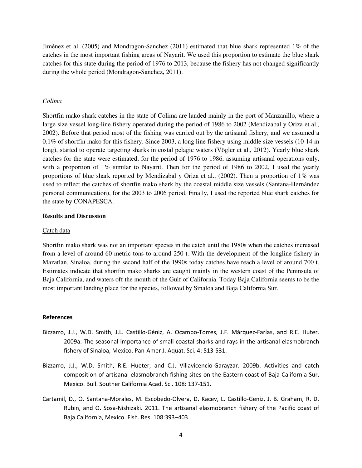Jiménez et al. (2005) and Mondragon-Sanchez (2011) estimated that blue shark represented 1% of the catches in the most important fishing areas of Nayarit. We used this proportion to estimate the blue shark catches for this state during the period of 1976 to 2013, because the fishery has not changed significantly during the whole period (Mondragon-Sanchez, 2011).

## *Colima*

Shortfin mako shark catches in the state of Colima are landed mainly in the port of Manzanillo, where a large size vessel long-line fishery operated during the period of 1986 to 2002 (Mendizabal y Oriza et al., 2002). Before that period most of the fishing was carried out by the artisanal fishery, and we assumed a 0.1% of shortfin mako for this fishery. Since 2003, a long line fishery using middle size vessels (10-14 m long), started to operate targeting sharks in costal pelagic waters (Vögler et al., 2012). Yearly blue shark catches for the state were estimated, for the period of 1976 to 1986, assuming artisanal operations only, with a proportion of 1% similar to Nayarit. Then for the period of 1986 to 2002, I used the yearly proportions of blue shark reported by Mendizabal y Oriza et al., (2002). Then a proportion of 1% was used to reflect the catches of shortfin mako shark by the coastal middle size vessels (Santana-Hernández personal communication), for the 2003 to 2006 period. Finally, I used the reported blue shark catches for the state by CONAPESCA.

#### **Results and Discussion**

#### Catch data

Shortfin mako shark was not an important species in the catch until the 1980s when the catches increased from a level of around 60 metric tons to around 250 t. With the development of the longline fishery in Mazatlan, Sinaloa, during the second half of the 1990s today catches have reach a level of around 700 t. Estimates indicate that shortfin mako sharks are caught mainly in the western coast of the Peninsula of Baja California, and waters off the mouth of the Gulf of California. Today Baja California seems to be the most important landing place for the species, followed by Sinaloa and Baja California Sur.

#### References

- Bizzarro, J.J., W.D. Smith, J.L. Castillo-Géniz, A. Ocampo-Torres, J.F. Márquez-Farías, and R.E. Huter. 2009a. The seasonal importance of small coastal sharks and rays in the artisanal elasmobranch fishery of Sinaloa, Mexico. Pan-Amer J. Aquat. Sci. 4: 513-531.
- Bizzarro, J.J., W.D. Smith, R.E. Hueter, and C.J. Villavicencio-Garayzar. 2009b. Activities and catch composition of artisanal elasmobranch fishing sites on the Eastern coast of Baja California Sur, Mexico. Bull. Souther California Acad. Sci. 108: 137-151.
- Cartamil, D., O. Santana-Morales, M. Escobedo-Olvera, D. Kacev, L. Castillo-Geniz, J. B. Graham, R. D. Rubin, and O. Sosa-Nishizaki. 2011. The artisanal elasmobranch fishery of the Pacific coast of Baja California, Mexico. Fish. Res. 108:393–403.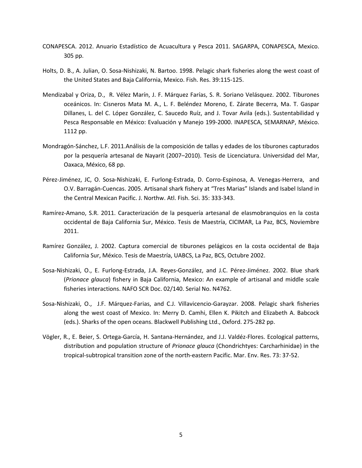- CONAPESCA. 2012. Anuario Estadístico de Acuacultura y Pesca 2011. SAGARPA, CONAPESCA, Mexico. 305 pp.
- Holts, D. B., A. Julian, O. Sosa-Nishizaki, N. Bartoo. 1998. Pelagic shark fisheries along the west coast of the United States and Baja California, Mexico. Fish. Res. 39:115-125.
- Mendizabal y Oriza, D., R. Vélez Marín, J. F. Márquez Farías, S. R. Soriano Velásquez. 2002. Tiburones oceánicos. In: Cisneros Mata M. A., L. F. Beléndez Moreno, E. Zárate Becerra, Ma. T. Gaspar Dillanes, L. del C. López González, C. Saucedo Ruíz, and J. Tovar Avila (eds.). Sustentabilidad y Pesca Responsable en México: Evaluación y Manejo 199-2000. INAPESCA, SEMARNAP, México. 1112 pp.
- Mondragón-Sánchez, L.F. 2011.Análisis de la composición de tallas y edades de los tiburones capturados por la pesquería artesanal de Nayarit (2007–2010). Tesis de Licenciatura. Universidad del Mar, Oaxaca, México, 68 pp.
- Pérez-Jiménez, JC, O. Sosa-Nishizaki, E. Furlong-Estrada, D. Corro-Espinosa, A. Venegas-Herrera, and O.V. Barragán-Cuencas. 2005. Artisanal shark fishery at "Tres Marias" Islands and Isabel Island in the Central Mexican Pacific. J. Northw. Atl. Fish. Sci. 35: 333-343.
- Ramírez-Amano, S.R. 2011. Caracterización de la pesquería artesanal de elasmobranquios en la costa occidental de Baja California Sur, México. Tesis de Maestría, CICIMAR, La Paz, BCS, Noviembre 2011.
- Ramírez González, J. 2002. Captura comercial de tiburones pelágicos en la costa occidental de Baja California Sur, México. Tesis de Maestría, UABCS, La Paz, BCS, Octubre 2002.
- Sosa-Nishizaki, O., E. Furlong-Estrada, J.A. Reyes-González, and J.C. Pérez-Jiménez. 2002. Blue shark (Prionace glauca) fishery in Baja California, Mexico: An example of artisanal and middle scale fisheries interactions. NAFO SCR Doc. 02/140. Serial No. N4762.
- Sosa-Nishizaki, O., J.F. Márquez-Farias, and C.J. Villavicencio-Garayzar. 2008. Pelagic shark fisheries along the west coast of Mexico. In: Merry D. Camhi, Ellen K. Pikitch and Elizabeth A. Babcock (eds.). Sharks of the open oceans. Blackwell Publishing Ltd., Oxford. 275-282 pp.
- Vögler, R., E. Beier, S. Ortega-García, H. Santana-Hernández, and J.J. Valdéz-Flores. Ecological patterns, distribution and population structure of *Prionace glauca* (Chondrichtyes: Carcharhinidae) in the tropical-subtropical transition zone of the north-eastern Pacific. Mar. Env. Res. 73: 37-52.